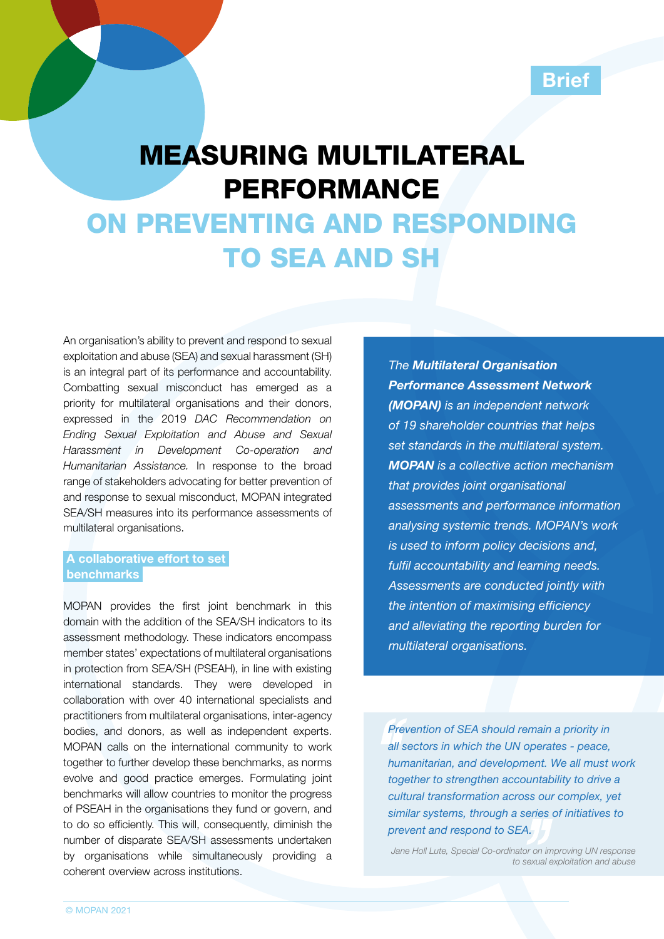## **Brief**

# MEASURING MULTILATERAL PERFORMANCE

# ON PREVENTING AND RESPONDING TO SEA AND SH

An organisation's ability to prevent and respond to sexual exploitation and abuse (SEA) and sexual harassment (SH) is an integral part of its performance and accountability. Combatting sexual misconduct has emerged as a priority for multilateral organisations and their donors, expressed in the 2019 *[DAC Recommendation on](http://www.oecd.org/dac/gender-development/dac-recommendation-on-ending-sexual-exploitation-abuse-and-harassment.htm#:~:text=The%20DAC%20Recommendation%20on%20Ending,harassment%20by%20setting%20and%20implementing)  [Ending Sexual Exploitation and Abuse and Sexual](http://www.oecd.org/dac/gender-development/dac-recommendation-on-ending-sexual-exploitation-abuse-and-harassment.htm#:~:text=The%20DAC%20Recommendation%20on%20Ending,harassment%20by%20setting%20and%20implementing)  [Harassment in Development Co-operation and](http://www.oecd.org/dac/gender-development/dac-recommendation-on-ending-sexual-exploitation-abuse-and-harassment.htm#:~:text=The%20DAC%20Recommendation%20on%20Ending,harassment%20by%20setting%20and%20implementing)  [Humanitarian Assistance.](http://www.oecd.org/dac/gender-development/dac-recommendation-on-ending-sexual-exploitation-abuse-and-harassment.htm#:~:text=The%20DAC%20Recommendation%20on%20Ending,harassment%20by%20setting%20and%20implementing)* In response to the broad range of stakeholders advocating for better prevention of and response to sexual misconduct, MOPAN integrated SEA/SH measures into its performance assessments of multilateral organisations.

#### A collaborative effort to set benchmarks

MOPAN provides the first joint benchmark in this domain with the addition of the SEA/SH indicators to its assessment methodology. These indicators encompass member states' expectations of multilateral organisations in protection from SEA/SH (PSEAH), in line with existing international standards. They were developed in collaboration with over 40 international specialists and practitioners from multilateral organisations, inter-agency bodies, and donors, as well as independent experts. MOPAN calls on the international community to work together to further develop these benchmarks, as norms evolve and good practice emerges. Formulating joint benchmarks will allow countries to monitor the progress of PSEAH in the organisations they fund or govern, and to do so efficiently. This will, consequently, diminish the number of disparate SEA/SH assessments undertaken by organisations while simultaneously providing a coherent overview across institutions.

*The [Multilateral Organisation](http://www.mopanonline.org/)  [Performance Assessment Network](http://www.mopanonline.org/)  [\(MOPAN\)](http://www.mopanonline.org/) is an independent network of 19 shareholder countries that helps set standards in the multilateral system. MOPAN is a collective action mechanism that provides joint organisational assessments and performance information analysing systemic trends. MOPAN's work is used to inform policy decisions and, fulfil accountability and learning needs. Assessments are conducted jointly with the intention of maximising efficiency and alleviating the reporting burden for multilateral organisations.*

*Prevention of SEA should remain a priority in all sectors in which the UN operates - peace, humanitarian, and development. We all must work together to strengthen accountability to drive a cultural transformation across our complex, yet similar systems, through a series of initiatives to prevent and respond to SEA.*

*Jane Holl Lute, Special Co-ordinator on improving UN response to sexual exploitation and abuse*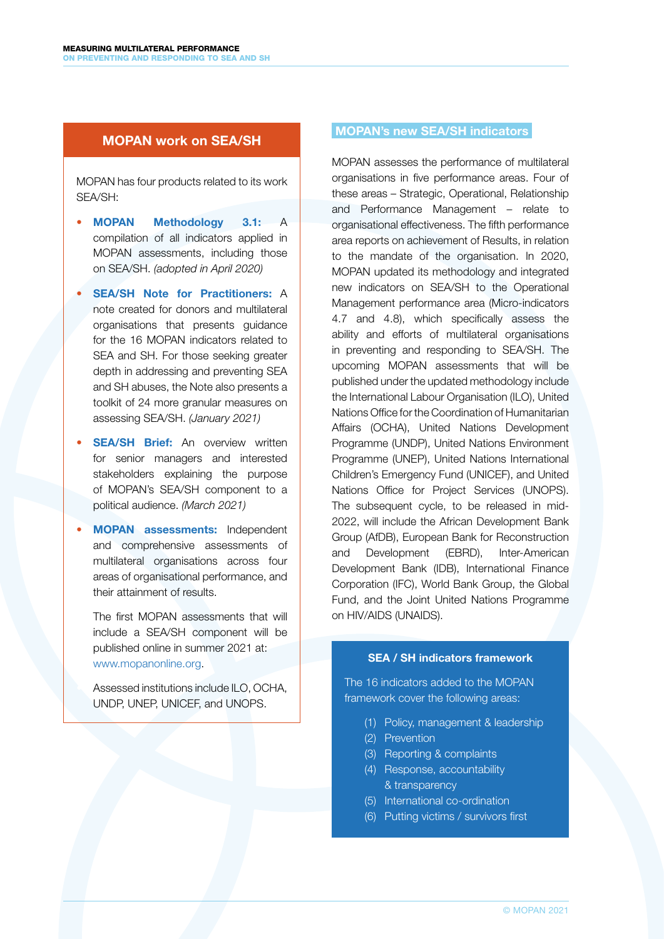### MOPAN work on SEA/SH

MOPAN has four products related to its work SEA/SH:

- [MOPAN Methodology 3.1](http://www.mopanonline.org/ourwork/themopanapproach/MOPAN_3.1_Methodology.pdf): A compilation of all indicators applied in MOPAN assessments, including those on SEA/SH. *(adopted in April 2020)*
- **SEA/SH [Note for Practitioners:](http://www.mopanonline.org/studies/items/MOPAN%20SEAH_Practitioners%20Note%20%5bweb%5d.pdf) A** [note created for donors and multilateral](http://www.mopanonline.org/studies/items/MOPAN%20SEAH_Practitioners%20Note%20%5bweb%5d.pdf)  [organisations that presents guidance](http://www.mopanonline.org/studies/items/MOPAN%20SEAH_Practitioners%20Note%20%5bweb%5d.pdf)  [for the 16 MOPAN indicators related to](http://www.mopanonline.org/studies/items/MOPAN%20SEAH_Practitioners%20Note%20%5bweb%5d.pdf)  [SEA and SH.](http://www.mopanonline.org/studies/items/MOPAN%20SEAH_Practitioners%20Note%20%5bweb%5d.pdf) For those seeking greater depth in addressing and preventing SEA and SH abuses, the Note also presents a toolkit of 24 more granular measures on assessing SEA/SH. *(January 2021)*
- **SEA/SH Brief:** An overview written for senior managers and interested stakeholders explaining the purpose of MOPAN's SEA/SH component to a political audience. *(March 2021)*
- **MOPAN assessments:** Independent and comprehensive assessments of multilateral organisations across four areas of organisational performance, and their attainment of results.

The first MOPAN assessments that will include a SEA/SH component will be published online in summer 2021 at: [www.mopanonline.org](http://www.mopanonline.org/).

• Assessed institutions include ILO, OCHA, UNDP, UNEP, UNICEF, and UNOPS.

### MOPAN's new SEA/SH indicators

MOPAN assesses the performance of multilateral organisations in five performance areas. Four of these areas – Strategic, Operational, Relationship and Performance Management – relate to organisational effectiveness. The fifth performance area reports on achievement of Results, in relation to the mandate of the organisation. In 2020, MOPAN updated its methodology and integrated new indicators on SEA/SH to the Operational Management performance area (Micro-indicators 4.7 and 4.8), which specifically assess the ability and efforts of multilateral organisations in preventing and responding to SEA/SH. The upcoming MOPAN assessments that will be published under the updated methodology include the International Labour Organisation (ILO), United Nations Office for the Coordination of Humanitarian Affairs (OCHA), United Nations Development Programme (UNDP), United Nations Environment Programme (UNEP), United Nations International Children's Emergency Fund (UNICEF), and United Nations Office for Project Services (UNOPS). The subsequent cycle, to be released in mid-2022, will include the African Development Bank Group (AfDB), European Bank for Reconstruction and Development (EBRD), Inter-American Development Bank (IDB), International Finance Corporation (IFC), World Bank Group, the Global Fund, and the Joint United Nations Programme on HIV/AIDS (UNAIDS).

#### SEA / SH indicators framework

The 16 indicators added to the MOPAN framework cover the following areas:

- (1) Policy, management & leadership
- (2) Prevention
- (3) Reporting & complaints
- (4) Response, accountability & transparency
- (5) International co-ordination
- (6) Putting victims / survivors first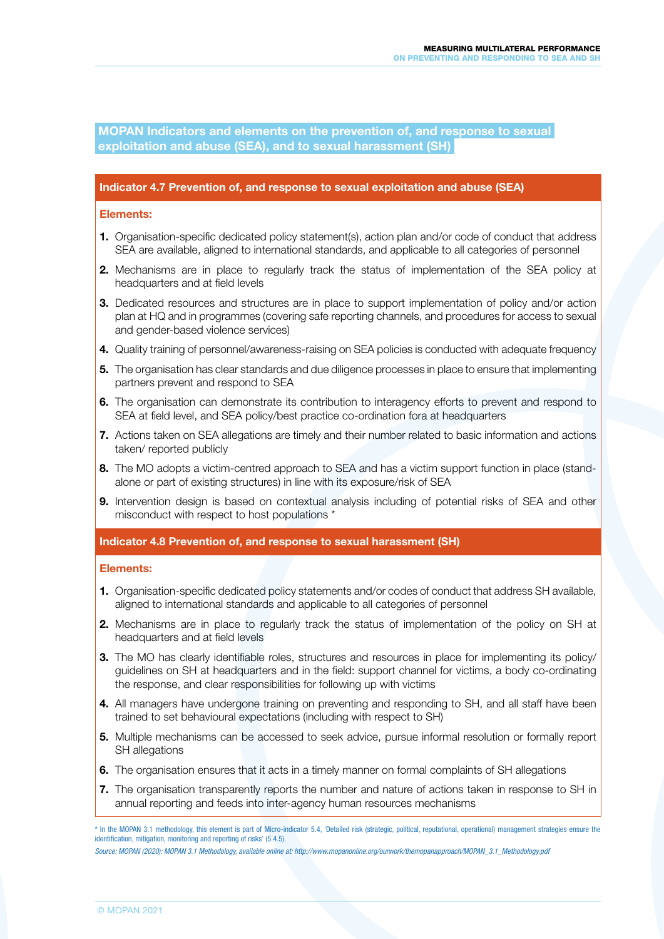MOPAN Indicators and elements on the prevention of, and response to sexual exploitation and abuse (SEA), and to sexual harassment (SH)

#### Indicator 4.7 Prevention of, and response to sexual exploitation and abuse (SEA)

#### Elements:

- 1. Organisation-specific dedicated policy statement(s), action plan and/or code of conduct that address SEA are available, aligned to international standards, and applicable to all categories of personnel
- 2. Mechanisms are in place to regularly track the status of implementation of the SEA policy at headquarters and at field levels
- **3.** Dedicated resources and structures are in place to support implementation of policy and/or action plan at HQ and in programmes (covering safe reporting channels, and procedures for access to sexual and gender-based violence services)
- 4. Quality training of personnel/awareness-raising on SEA policies is conducted with adequate frequency
- **5.** The organisation has clear standards and due diligence processes in place to ensure that implementing partners prevent and respond to SEA
- 6. The organisation can demonstrate its contribution to interagency efforts to prevent and respond to SEA at field level, and SEA policy/best practice co-ordination fora at headquarters
- 7. Actions taken on SEA allegations are timely and their number related to basic information and actions taken/ reported publicly
- 8. The MO adopts a victim-centred approach to SEA and has a victim support function in place (standalone or part of existing structures) in line with its exposure/risk of SEA
- 9. Intervention design is based on contextual analysis including of potential risks of SEA and other misconduct with respect to host populations \*

Indicator 4.8 Prevention of, and response to sexual harassment (SH)

#### Elements:

- 1. Organisation-specific dedicated policy statements and/or codes of conduct that address SH available, aligned to international standards and applicable to all categories of personnel
- 2. Mechanisms are in place to regularly track the status of implementation of the policy on SH at headquarters and at field levels
- **3.** The MO has clearly identifiable roles, structures and resources in place for implementing its policy/ guidelines on SH at headquarters and in the field: support channel for victims, a body co-ordinating the response, and clear responsibilities for following up with victims
- 4. All managers have undergone training on preventing and responding to SH, and all staff have been trained to set behavioural expectations (including with respect to SH)
- 5. Multiple mechanisms can be accessed to seek advice, pursue informal resolution or formally report SH allegations
- 6. The organisation ensures that it acts in a timely manner on formal complaints of SH allegations
- 7. The organisation transparently reports the number and nature of actions taken in response to SH in annual reporting and feeds into inter-agency human resources mechanisms

<sup>\*</sup> In the MOPAN 3.1 methodology, this element is part of Micro-indicator 5.4, 'Detailed risk (strategic, political, reputational, operational) management strategies ensure the identification, mitigation, monitoring and reporting of risks' (5.4.5).

*Source: MOPAN (2020): MOPAN 3.1 Methodology, available online at: http://www.mopanonline.org/ourwork/themopanapproach/MOPAN\_3.1\_Methodology.pdf*